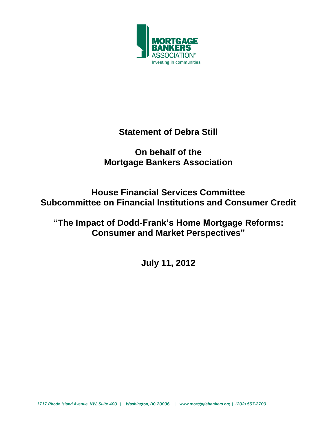

# **Statement of Debra Still**

# **On behalf of the Mortgage Bankers Association**

# **House Financial Services Committee Subcommittee on Financial Institutions and Consumer Credit**

**"The Impact of Dodd-Frank's Home Mortgage Reforms: Consumer and Market Perspectives"**

**July 11, 2012**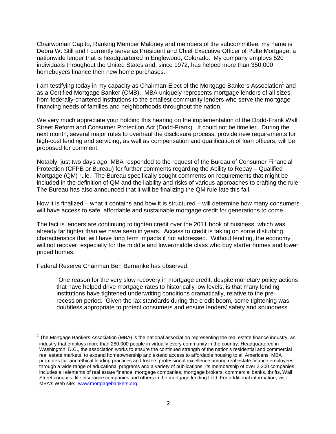Chairwoman Capito, Ranking Member Maloney and members of the subcommittee, my name is Debra W. Still and I currently serve as President and Chief Executive Officer of Pulte Mortgage, a nationwide lender that is headquartered in Englewood, Colorado. My company employs 520 individuals throughout the United States and, since 1972, has helped more than 350,000 homebuyers finance their new home purchases.

I am testifying today in my capacity as Chairman-Elect of the Mortgage Bankers Association<sup>1</sup> and as a Certified Mortgage Banker (CMB). MBA uniquely represents mortgage lenders of all sizes, from federally-chartered institutions to the smallest community lenders who serve the mortgage financing needs of families and neighborhoods throughout the nation.

We very much appreciate your holding this hearing on the implementation of the Dodd-Frank Wall Street Reform and Consumer Protection Act (Dodd-Frank). It could not be timelier. During the next month, several major rules to overhaul the disclosure process, provide new requirements for high-cost lending and servicing, as well as compensation and qualification of loan officers, will be proposed for comment.

Notably, just two days ago, MBA responded to the request of the Bureau of Consumer Financial Protection (CFPB or Bureau) for further comments regarding the Ability to Repay – Qualified Mortgage (QM) rule. The Bureau specifically sought comments on requirements that might be included in the definition of QM and the liability and risks of various approaches to crafting the rule. The Bureau has also announced that it will be finalizing the QM rule late this fall.

How it is finalized – what it contains and how it is structured – will determine how many consumers will have access to safe, affordable and sustainable mortgage credit for generations to come.

The fact is lenders are continuing to tighten credit over the 2011 book of business, which was already far tighter than we have seen in years. Access to credit is taking on some disturbing characteristics that will have long term impacts if not addressed. Without lending, the economy will not recover, especially for the middle and lower/middle class who buy starter homes and lower priced homes.

Federal Reserve Chairman Ben Bernanke has observed:

 $\ddot{\phantom{a}}$ 

"One reason for the very slow recovery in mortgage credit, despite monetary policy actions that have helped drive mortgage rates to historically low levels, is that many lending institutions have tightened underwriting conditions dramatically, relative to the prerecession period. Given the lax standards during the credit boom, some tightening was doubtless appropriate to protect consumers and ensure lenders' safety and soundness.

 $1$  The Mortgage Bankers Association (MBA) is the national association representing the real estate finance industry, an industry that employs more than 280,000 people in virtually every community in the country. Headquartered in Washington, D.C., the association works to ensure the continued strength of the nation's residential and commercial real estate markets; to expand homeownership and extend access to affordable housing to all Americans. MBA promotes fair and ethical lending practices and fosters professional excellence among real estate finance employees through a wide range of educational programs and a variety of publications. Its membership of over 2,200 companies includes all elements of real estate finance: mortgage companies, mortgage brokers, commercial banks, thrifts, Wall Street conduits, life insurance companies and others in the mortgage lending field. For additional information, visit MBA's Web site: [www.mortgagebankers.org.](http://www.mortgagebankers.org/)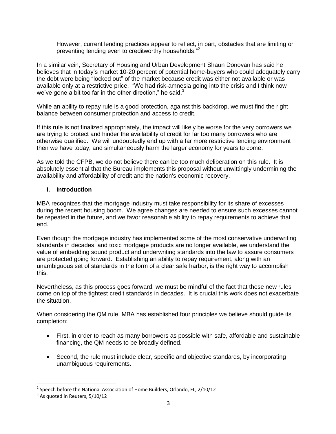However, current lending practices appear to reflect, in part, obstacles that are limiting or preventing lending even to creditworthy households."<sup>2</sup>

In a similar vein, Secretary of Housing and Urban Development Shaun Donovan has said he believes that in today's market 10-20 percent of potential home-buyers who could adequately carry the debt were being "locked out" of the market because credit was either not available or was available only at a restrictive price. "We had risk-amnesia going into the crisis and I think now we've gone a bit too far in the other direction," he said. $3$ 

While an ability to repay rule is a good protection, against this backdrop, we must find the right balance between consumer protection and access to credit.

If this rule is not finalized appropriately, the impact will likely be worse for the very borrowers we are trying to protect and hinder the availability of credit for far too many borrowers who are otherwise qualified. We will undoubtedly end up with a far more restrictive lending environment then we have today, and simultaneously harm the larger economy for years to come.

As we told the CFPB, we do not believe there can be too much deliberation on this rule. It is absolutely essential that the Bureau implements this proposal without unwittingly undermining the availability and affordability of credit and the nation's economic recovery.

## **I. Introduction**

MBA recognizes that the mortgage industry must take responsibility for its share of excesses during the recent housing boom. We agree changes are needed to ensure such excesses cannot be repeated in the future, and we favor reasonable ability to repay requirements to achieve that end.

Even though the mortgage industry has implemented some of the most conservative underwriting standards in decades, and toxic mortgage products are no longer available, we understand the value of embedding sound product and underwriting standards into the law to assure consumers are protected going forward. Establishing an ability to repay requirement, along with an unambiguous set of standards in the form of a clear safe harbor, is the right way to accomplish this.

Nevertheless, as this process goes forward, we must be mindful of the fact that these new rules come on top of the tightest credit standards in decades. It is crucial this work does not exacerbate the situation.

When considering the QM rule, MBA has established four principles we believe should guide its completion:

- First, in order to reach as many borrowers as possible with safe, affordable and sustainable financing, the QM needs to be broadly defined.
- Second, the rule must include clear, specific and objective standards, by incorporating unambiguous requirements.

 $\overline{a}$ 

 $^2$  Speech before the National Association of Home Builders, Orlando, FL, 2/10/12

 $3$  As quoted in Reuters, 5/10/12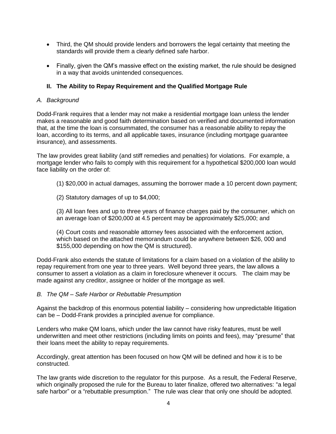- Third, the QM should provide lenders and borrowers the legal certainty that meeting the standards will provide them a clearly defined safe harbor.
- Finally, given the QM's massive effect on the existing market, the rule should be designed in a way that avoids unintended consequences.

## **II. The Ability to Repay Requirement and the Qualified Mortgage Rule**

#### *A. Background*

Dodd-Frank requires that a lender may not make a residential mortgage loan unless the lender makes a reasonable and good faith determination based on verified and documented information that, at the time the loan is consummated, the consumer has a reasonable ability to repay the loan, according to its terms, and all applicable taxes, insurance (including mortgage guarantee insurance), and assessments.

The law provides great liability (and stiff remedies and penalties) for violations. For example, a mortgage lender who fails to comply with this requirement for a hypothetical \$200,000 loan would face liability on the order of:

- (1) \$20,000 in actual damages, assuming the borrower made a 10 percent down payment;
- (2) Statutory damages of up to \$4,000;

(3) All loan fees and up to three years of finance charges paid by the consumer, which on an average loan of \$200,000 at 4.5 percent may be approximately \$25,000; and

(4) Court costs and reasonable attorney fees associated with the enforcement action, which based on the attached memorandum could be anywhere between \$26, 000 and \$155,000 depending on how the QM is structured).

Dodd-Frank also extends the statute of limitations for a claim based on a violation of the ability to repay requirement from one year to three years. Well beyond three years, the law allows a consumer to assert a violation as a claim in foreclosure whenever it occurs. The claim may be made against any creditor, assignee or holder of the mortgage as well.

#### *B. The QM – Safe Harbor or Rebuttable Presumption*

Against the backdrop of this enormous potential liability – considering how unpredictable litigation can be – Dodd-Frank provides a principled avenue for compliance.

Lenders who make QM loans, which under the law cannot have risky features, must be well underwritten and meet other restrictions (including limits on points and fees), may "presume" that their loans meet the ability to repay requirements.

Accordingly, great attention has been focused on how QM will be defined and how it is to be constructed.

The law grants wide discretion to the regulator for this purpose. As a result, the Federal Reserve, which originally proposed the rule for the Bureau to later finalize, offered two alternatives: "a legal safe harbor" or a "rebuttable presumption." The rule was clear that only one should be adopted.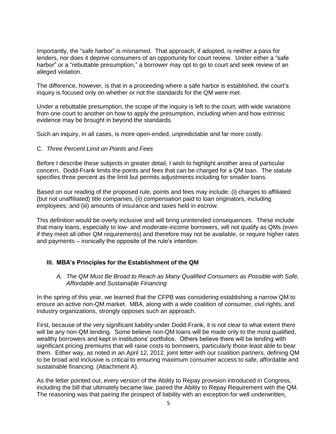Importantly, the "safe harbor" is misnamed. That approach, if adopted, is neither a pass for lenders, nor does it deprive consumers of an opportunity for court review. Under either a "safe harbor" or a "rebuttable presumption," a borrower may opt to go to court and seek review of an alleged violation.

The difference, however, is that in a proceeding where a safe harbor is established, the court's inquiry is focused only on whether or not the standards for the QM were met.

Under a rebuttable presumption, the scope of the inquiry is left to the court, with wide variations from one court to another on how to apply the presumption, including when and how extrinsic evidence may be brought in beyond the standards.

Such an inquiry, in all cases, is more open-ended, unpredictable and far more costly.

#### C. *Three Percent Limit on Points and Fees*

Before I describe these subjects in greater detail, I wish to highlight another area of particular concern. Dodd-Frank limits the points and fees that can be charged for a QM loan. The statute specifies three percent as the limit but permits adjustments including for smaller loans.

Based on our reading of the proposed rule, points and fees may include: (i) charges to affiliated (but not unaffiliated) title companies, (ii) compensation paid to loan originators, including employees; and (iii) amounts of insurance and taxes held in escrow.

This definition would be overly inclusive and will bring unintended consequences. These include that many loans, especially to low- and moderate-income borrowers, will not qualify as QMs (even if they meet all other QM requirements) and therefore may not be available, or require higher rates and payments – ironically the opposite of the rule's intention.

## **III. MBA's Principles for the Establishment of the QM**

#### *A. The QM Must Be Broad to Reach as Many Qualified Consumers as Possible with Safe, Affordable and Sustainable Financing*

In the spring of this year, we learned that the CFPB was considering establishing a narrow QM to ensure an active non-QM market. MBA, along with a wide coalition of consumer, civil rights, and industry organizations, strongly opposes such an approach.

First, because of the very significant liability under Dodd-Frank, it is not clear to what extent there will be any non-QM lending. Some believe non-QM loans will be made only to the most qualified, wealthy borrowers and kept in institutions' portfolios. Others believe there will be lending with significant pricing premiums that will raise costs to borrowers, particularly those least able to bear them. Either way, as noted in an April 12, 2012, joint letter with our coalition partners, defining QM to be broad and inclusive is critical to ensuring maximum consumer access to safe, affordable and sustainable financing. (Attachment A).

As the letter pointed out, every version of the Ability to Repay provision introduced in Congress, including the bill that ultimately became law, paired the Ability to Repay Requirement with the QM. The reasoning was that pairing the prospect of liability with an exception for well underwritten,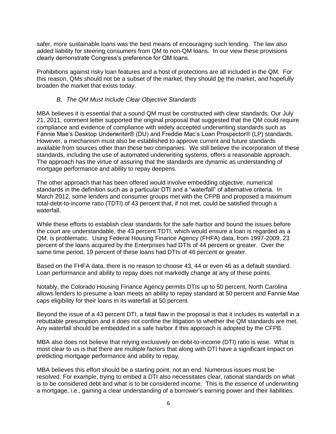safer, more sustainable loans was the best means of encouraging such lending. The law also added liability for steering consumers from QM to non-QM loans. In our view these provisions clearly demonstrate Congress's preference for QM loans.

Prohibitions against risky loan features and a host of protections are all included in the QM. For this reason, QMs should not be a subset of the market, they should *be* the market, and hopefully broaden the market that exists today.

## *B. The QM Must Include Clear Objective Standards*

MBA believes it is essential that a sound QM must be constructed with clear standards. Our July 21, 2011, comment letter supported the original proposal that suggested that the QM could require compliance and evidence of compliance with widely accepted underwriting standards such as Fannie Mae's Desktop Underwriter® (DU) and Freddie Mac's Loan Prospector® (LP) standards. However, a mechanism must also be established to approve current and future standards available from sources other than these two companies. We still believe the incorporation of these standards, including the use of automated underwriting systems, offers a reasonable approach. The approach has the virtue of assuring that the standards are dynamic as understanding of mortgage performance and ability to repay deepens.

The other approach that has been offered would involve embedding objective, numerical standards in the definition such as a particular DTI and a "waterfall" of alternative criteria. In March 2012, some lenders and consumer groups met with the CFPB and proposed a maximum total-debt-to-income ratio (TDTI) of 43 percent that, if not met, could be satisfied through a waterfall.

While these efforts to establish clear standards for the safe harbor and bound the issues before the court are understandable, the 43 percent TDTI, which would ensure a loan is regarded as a QM, is problematic. Using Federal Housing Finance Agency (FHFA) data, from 1997-2009, 23 percent of the loans acquired by the Enterprises had DTIs of 44 percent or greater. Over the same time period, 19 percent of these loans had DTIs of 46 percent or greater.

Based on the FHFA data, there is no reason to choose 43, 44 or even 46 as a default standard. Loan performance and ability to repay does not markedly change at any of these points.

Notably, the Colorado Housing Finance Agency permits DTIs up to 50 percent, North Carolina allows lenders to presume a loan meets an ability to repay standard at 50 percent and Fannie Mae caps eligibility for their loans in its waterfall at 50 percent.

Beyond the issue of a 43 percent DTI, a fatal flaw in the proposal is that it includes its waterfall in a rebuttable presumption and it does not confine the litigation to whether the QM standards are met. Any waterfall should be embedded in a safe harbor if this approach is adopted by the CFPB.

MBA also does not believe that relying exclusively on debt-to-income (DTI) ratio is wise. What is most clear to us is that there are multiple factors that along with DTI have a significant impact on predicting mortgage performance and ability to repay.

MBA believes this effort should be a starting point, not an end. Numerous issues must be resolved. For example, trying to embed a DTI also necessitates clear, rational standards on what is to be considered debt and what is to be considered income. This is the essence of underwriting a mortgage, i.e., gaining a clear understanding of a borrower's earning power and their liabilities.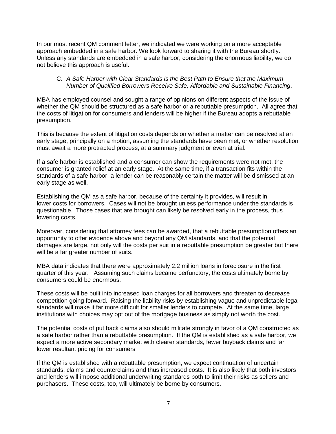In our most recent QM comment letter, we indicated we were working on a more acceptable approach embedded in a safe harbor. We look forward to sharing it with the Bureau shortly. Unless any standards are embedded in a safe harbor, considering the enormous liability, we do not believe this approach is useful.

#### C. *A Safe Harbor with Clear Standards is the Best Path to Ensure that the Maximum Number of Qualified Borrowers Receive Safe, Affordable and Sustainable Financing*.

MBA has employed counsel and sought a range of opinions on different aspects of the issue of whether the QM should be structured as a safe harbor or a rebuttable presumption. All agree that the costs of litigation for consumers and lenders will be higher if the Bureau adopts a rebuttable presumption.

This is because the extent of litigation costs depends on whether a matter can be resolved at an early stage, principally on a motion, assuming the standards have been met, or whether resolution must await a more protracted process, at a summary judgment or even at trial.

If a safe harbor is established and a consumer can show the requirements were not met, the consumer is granted relief at an early stage. At the same time, if a transaction fits within the standards of a safe harbor, a lender can be reasonably certain the matter will be dismissed at an early stage as well.

Establishing the QM as a safe harbor, because of the certainty it provides, will result in lower costs for borrowers. Cases will not be brought unless performance under the standards is questionable. Those cases that are brought can likely be resolved early in the process, thus lowering costs.

Moreover, considering that attorney fees can be awarded, that a rebuttable presumption offers an opportunity to offer evidence above and beyond any QM standards, and that the potential damages are large, not only will the costs per suit in a rebuttable presumption be greater but there will be a far greater number of suits.

MBA data indicates that there were approximately 2.2 million loans in foreclosure in the first quarter of this year. Assuming such claims became perfunctory, the costs ultimately borne by consumers could be enormous.

These costs will be built into increased loan charges for all borrowers and threaten to decrease competition going forward. Raising the liability risks by establishing vague and unpredictable legal standards will make it far more difficult for smaller lenders to compete. At the same time, large institutions with choices may opt out of the mortgage business as simply not worth the cost.

The potential costs of put back claims also should militate strongly in favor of a QM constructed as a safe harbor rather than a rebuttable presumption. If the QM is established as a safe harbor, we expect a more active secondary market with clearer standards, fewer buyback claims and far lower resultant pricing for consumers

If the QM is established with a rebuttable presumption, we expect continuation of uncertain standards, claims and counterclaims and thus increased costs. It is also likely that both investors and lenders will impose additional underwriting standards both to limit their risks as sellers and purchasers. These costs, too, will ultimately be borne by consumers.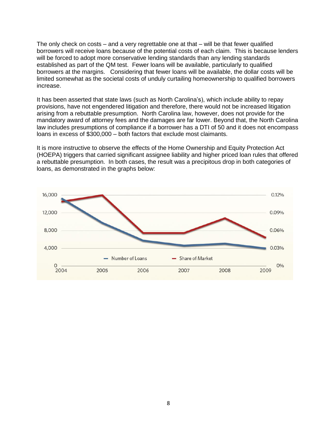The only check on costs – and a very regrettable one at that – will be that fewer qualified borrowers will receive loans because of the potential costs of each claim. This is because lenders will be forced to adopt more conservative lending standards than any lending standards established as part of the QM test. Fewer loans will be available, particularly to qualified borrowers at the margins. Considering that fewer loans will be available, the dollar costs will be limited somewhat as the societal costs of unduly curtailing homeownership to qualified borrowers increase.

It has been asserted that state laws (such as North Carolina's), which include ability to repay provisions, have not engendered litigation and therefore, there would not be increased litigation arising from a rebuttable presumption. North Carolina law, however, does not provide for the mandatory award of attorney fees and the damages are far lower. Beyond that, the North Carolina law includes presumptions of compliance if a borrower has a DTI of 50 and it does not encompass loans in excess of \$300,000 – both factors that exclude most claimants.

It is more instructive to observe the effects of the Home Ownership and Equity Protection Act (HOEPA) triggers that carried significant assignee liability and higher priced loan rules that offered a rebuttable presumption. In both cases, the result was a precipitous drop in both categories of loans, as demonstrated in the graphs below:

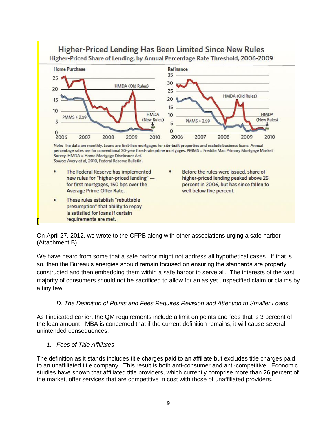

On April 27, 2012, we wrote to the CFPB along with other associations urging a safe harbor (Attachment B).

We have heard from some that a safe harbor might not address all hypothetical cases. If that is so, then the Bureau's energies should remain focused on ensuring the standards are properly constructed and then embedding them within a safe harbor to serve all. The interests of the vast majority of consumers should not be sacrificed to allow for an as yet unspecified claim or claims by a tiny few.

#### *D. The Definition of Points and Fees Requires Revision and Attention to Smaller Loans*

As I indicated earlier, the QM requirements include a limit on points and fees that is 3 percent of the loan amount. MBA is concerned that if the current definition remains, it will cause several unintended consequences.

#### *1. Fees of Title Affiliates*

The definition as it stands includes title charges paid to an affiliate but excludes title charges paid to an unaffiliated title company. This result is both anti-consumer and anti-competitive. Economic studies have shown that affiliated title providers, which currently comprise more than 26 percent of the market, offer services that are competitive in cost with those of unaffiliated providers.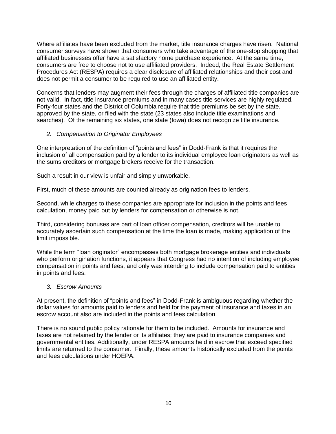Where affiliates have been excluded from the market, title insurance charges have risen. National consumer surveys have shown that consumers who take advantage of the one-stop shopping that affiliated businesses offer have a satisfactory home purchase experience. At the same time, consumers are free to choose not to use affiliated providers. Indeed, the Real Estate Settlement Procedures Act (RESPA) requires a clear disclosure of affiliated relationships and their cost and does not permit a consumer to be required to use an affiliated entity.

Concerns that lenders may augment their fees through the charges of affiliated title companies are not valid. In fact, title insurance premiums and in many cases title services are highly regulated. Forty-four states and the District of Columbia require that title premiums be set by the state, approved by the state, or filed with the state (23 states also include title examinations and searches). Of the remaining six states, one state (Iowa) does not recognize title insurance.

# *2. Compensation to Originator Employees*

One interpretation of the definition of "points and fees" in Dodd-Frank is that it requires the inclusion of all compensation paid by a lender to its individual employee loan originators as well as the sums creditors or mortgage brokers receive for the transaction.

Such a result in our view is unfair and simply unworkable.

First, much of these amounts are counted already as origination fees to lenders.

Second, while charges to these companies are appropriate for inclusion in the points and fees calculation, money paid out by lenders for compensation or otherwise is not.

Third, considering bonuses are part of loan officer compensation, creditors will be unable to accurately ascertain such compensation at the time the loan is made, making application of the limit impossible.

While the term "loan originator" encompasses both mortgage brokerage entities and individuals who perform origination functions, it appears that Congress had no intention of including employee compensation in points and fees, and only was intending to include compensation paid to entities in points and fees.

## *3. Escrow Amounts*

At present, the definition of "points and fees" in Dodd-Frank is ambiguous regarding whether the dollar values for amounts paid to lenders and held for the payment of insurance and taxes in an escrow account also are included in the points and fees calculation.

There is no sound public policy rationale for them to be included. Amounts for insurance and taxes are not retained by the lender or its affiliates; they are paid to insurance companies and governmental entities. Additionally, under RESPA amounts held in escrow that exceed specified limits are returned to the consumer. Finally, these amounts historically excluded from the points and fees calculations under HOEPA.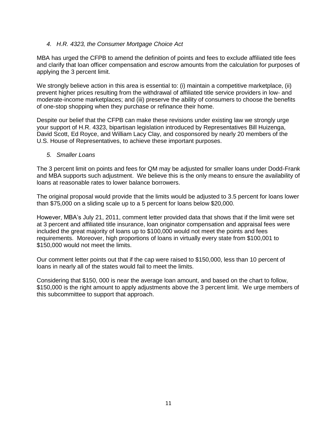## *4. H.R. 4323, the Consumer Mortgage Choice Act*

MBA has urged the CFPB to amend the definition of points and fees to exclude affiliated title fees and clarify that loan officer compensation and escrow amounts from the calculation for purposes of applying the 3 percent limit.

We strongly believe action in this area is essential to: (i) maintain a competitive marketplace, (ii) prevent higher prices resulting from the withdrawal of affiliated title service providers in low- and moderate-income marketplaces; and (iii) preserve the ability of consumers to choose the benefits of one-stop shopping when they purchase or refinance their home.

Despite our belief that the CFPB can make these revisions under existing law we strongly urge your support of H.R. 4323, bipartisan legislation introduced by Representatives Bill Huizenga, David Scott, Ed Royce, and William Lacy Clay, and cosponsored by nearly 20 members of the U.S. House of Representatives, to achieve these important purposes.

#### *5. Smaller Loans*

The 3 percent limit on points and fees for QM may be adjusted for smaller loans under Dodd-Frank and MBA supports such adjustment. We believe this is the only means to ensure the availability of loans at reasonable rates to lower balance borrowers.

The original proposal would provide that the limits would be adjusted to 3.5 percent for loans lower than \$75,000 on a sliding scale up to a 5 percent for loans below \$20,000.

However, MBA's July 21, 2011, comment letter provided data that shows that if the limit were set at 3 percent and affiliated title insurance, loan originator compensation and appraisal fees were included the great majority of loans up to \$100,000 would not meet the points and fees requirements. Moreover, high proportions of loans in virtually every state from \$100,001 to \$150,000 would not meet the limits.

Our comment letter points out that if the cap were raised to \$150,000, less than 10 percent of loans in nearly all of the states would fail to meet the limits.

Considering that \$150, 000 is near the average loan amount, and based on the chart to follow, \$150,000 is the right amount to apply adjustments above the 3 percent limit. We urge members of this subcommittee to support that approach.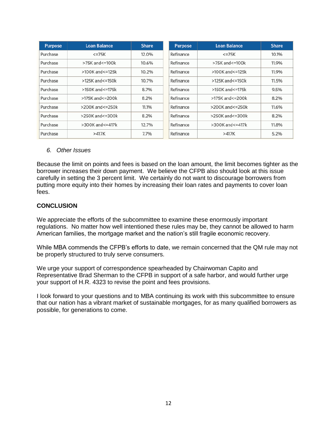| <b>Purpose</b> | Loan Balance                 | <b>Share</b> | <b>Purpose</b> | Loan Balance                 |
|----------------|------------------------------|--------------|----------------|------------------------------|
| Purchase       | $<=75K$                      | 12.0%        | Refinance      | $<=75K$                      |
| Purchase       | >75K and<=100k               | 10.6%        | Refinance      | $>75K$ and $\leq 100K$       |
| Purchase       | >100K and<=125k              | 10.2%        | Refinance      | >100K and<=125k              |
| Purchase       | >125K and<=150k              | 10.7%        | Refinance      | >125K and<=150k              |
| Purchase       | >150K and<=175k              | 8.7%         | Refinance      | >150K and<=175k              |
| Purchase       | >175K and<=200k              | 8.2%         | Refinance      | >175K and<=200k              |
| Purchase       | >200K and<=250k              | 11.1%        | Refinance      | >200K and<=250k              |
| Purchase       | $>250K$ and $\leq$ = 300 $k$ | 8.2%         | Refinance      | $>250K$ and $\leq$ = 300 $k$ |
| Purchase       | $>300K$ and $\leq$ = 417 $k$ | 12.7%        | Refinance      | $>300K$ and $\leq$ = 417 $k$ |
| Purchase       | >417K                        | 7.7%         | Refinance      | >417K                        |

#### *6. Other Issues*

Because the limit on points and fees is based on the loan amount, the limit becomes tighter as the borrower increases their down payment. We believe the CFPB also should look at this issue carefully in setting the 3 percent limit. We certainly do not want to discourage borrowers from putting more equity into their homes by increasing their loan rates and payments to cover loan fees.

# **CONCLUSION**

We appreciate the efforts of the subcommittee to examine these enormously important regulations. No matter how well intentioned these rules may be, they cannot be allowed to harm American families, the mortgage market and the nation's still fragile economic recovery.

While MBA commends the CFPB's efforts to date, we remain concerned that the QM rule may not be properly structured to truly serve consumers.

We urge your support of correspondence spearheaded by Chairwoman Capito and Representative Brad Sherman to the CFPB in support of a safe harbor, and would further urge your support of H.R. 4323 to revise the point and fees provisions.

I look forward to your questions and to MBA continuing its work with this subcommittee to ensure that our nation has a vibrant market of sustainable mortgages, for as many qualified borrowers as possible, for generations to come.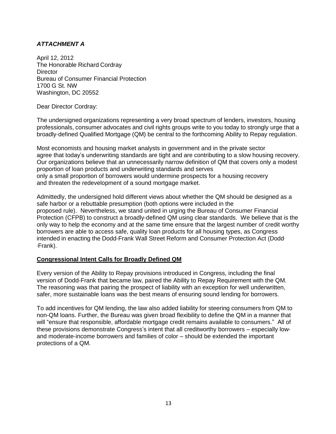# *ATTACHMENT A*

April 12, 2012 The Honorable Richard Cordray **Director** Bureau of Consumer Financial Protection 1700 G St. NW Washington, DC 20552

Dear Director Cordray:

The undersigned organizations representing a very broad spectrum of lenders, investors, housing professionals, consumer advocates and civil rights groups write to you today to strongly urge that a broadly-defined Qualified Mortgage (QM) be central to the forthcoming Ability to Repay regulation.

Most economists and housing market analysts in government and in the private sector agree that today's underwriting standards are tight and are contributing to a slow housing recovery. Our organizations believe that an unnecessarily narrow definition of QM that covers only a modest proportion of loan products and underwriting standards and serves only a small proportion of borrowers would undermine prospects for a housing recovery and threaten the redevelopment of a sound mortgage market.

Admittedly, the undersigned hold different views about whether the QM should be designed as a safe harbor or a rebuttable presumption (both options were included in the proposed rule). Nevertheless, we stand united in urging the Bureau of Consumer Financial Protection (CFPB) to construct a broadly-defined QM using clear standards. We believe that is the only way to help the economy and at the same time ensure that the largest number of credit worthy borrowers are able to access safe, quality loan products for all housing types, as Congress intended in enacting the Dodd-Frank Wall Street Reform and Consumer Protection Act (Dodd--‐Frank).

## **Congressional Intent Calls for Broadly Defined QM**

Every version of the Ability to Repay provisions introduced in Congress, including the final version of Dodd-Frank that became law, paired the Ability to Repay Requirement with the QM. The reasoning was that pairing the prospect of liability with an exception for well underwritten, safer, more sustainable loans was the best means of ensuring sound lending for borrowers.

To add incentives for QM lending, the law also added liability for steering consumers from QM to non-QM loans. Further, the Bureau was given broad flexibility to define the QM in a manner that will "ensure that responsible, affordable mortgage credit remains available to consumers." All of these provisions demonstrate Congress's intent that all creditworthy borrowers – especially low-and moderate-income borrowers and families of color – should be extended the important protections of a QM.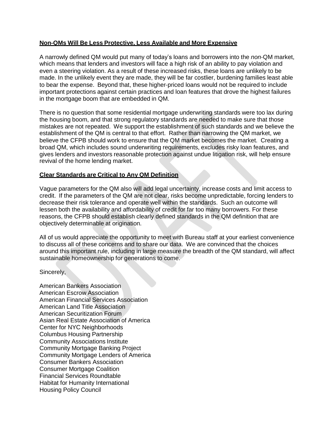## **Non--QMs Will Be Less Protective, Less Available and More Expensive**

A narrowly defined QM would put many of today's loans and borrowers into the *non*-QM market, which means that lenders and investors will face a high risk of an ability to pay violation and even a steering violation. As a result of these increased risks, these loans are unlikely to be made. In the unlikely event they are made, they will be far costlier, burdening families least able to bear the expense. Beyond that, these higher-priced loans would not be required to include important protections against certain practices and loan features that drove the highest failures in the mortgage boom that are embedded in QM.

There is no question that some residential mortgage underwriting standards were too lax during the housing boom, and that strong regulatory standards are needed to make sure that those mistakes are not repeated. We support the establishment of such standards and we believe the establishment of the QM is central to that effort. Rather than narrowing the QM market, we believe the CFPB should work to ensure that the QM market becomes the market. Creating a broad QM, which includes sound underwriting requirements, excludes risky loan features, and gives lenders and investors reasonable protection against undue litigation risk, will help ensure revival of the home lending market.

#### **Clear Standards are Critical to Any QM Definition**

Vague parameters for the QM also will add legal uncertainty, increase costs and limit access to credit. If the parameters of the QM are not clear, risks become unpredictable, forcing lenders to decrease their risk tolerance and operate well within the standards. Such an outcome will lessen both the availability and affordability of credit for far too many borrowers. For these reasons, the CFPB should establish clearly defined standards in the QM definition that are objectively determinable at origination.

All of us would appreciate the opportunity to meet with Bureau staff at your earliest convenience to discuss all of these concerns and to share our data. We are convinced that the choices around this important rule, including in large measure the breadth of the QM standard, will affect sustainable homeownership for generations to come.

Sincerely,

American Bankers Association American Escrow Association American Financial Services Association American Land Title Association American Securitization Forum Asian Real Estate Association of America Center for NYC Neighborhoods Columbus Housing Partnership Community Associations Institute Community Mortgage Banking Project Community Mortgage Lenders of America Consumer Bankers Association Consumer Mortgage Coalition Financial Services Roundtable Habitat for Humanity International Housing Policy Council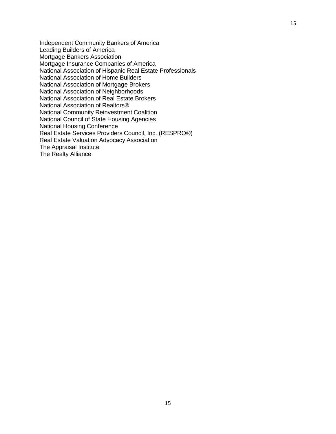Independent Community Bankers of America Leading Builders of America Mortgage Bankers Association Mortgage Insurance Companies of America National Association of Hispanic Real Estate Professionals National Association of Home Builders National Association of Mortgage Brokers National Association of Neighborhoods National Association of Real Estate Brokers National Association of Realtors® National Community Reinvestment Coalition National Council of State Housing Agencies National Housing Conference Real Estate Services Providers Council, Inc. (RESPRO®) Real Estate Valuation Advocacy Association The Appraisal Institute The Realty Alliance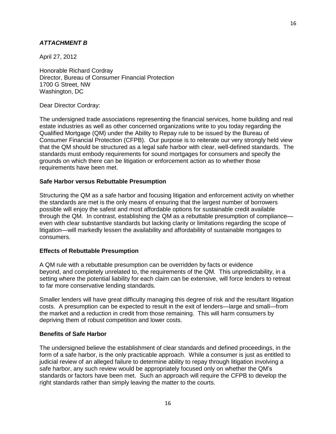#### *ATTACHMENT B*

April 27, 2012

Honorable Richard Cordray Director, Bureau of Consumer Financial Protection 1700 G Street, NW Washington, DC

Dear Director Cordray:

The undersigned trade associations representing the financial services, home building and real estate industries as well as other concerned organizations write to you today regarding the Qualified Mortgage (QM) under the Ability to Repay rule to be issued by the Bureau of Consumer Financial Protection (CFPB). Our purpose is to reiterate our very strongly held view that the QM should be structured as a legal safe harbor with clear, well-defined standards. The standards must embody requirements for sound mortgages for consumers and specify the grounds on which there can be litigation or enforcement action as to whether those requirements have been met.

#### **Safe Harbor versus Rebuttable Presumption**

Structuring the QM as a safe harbor and focusing litigation and enforcement activity on whether the standards are met is the only means of ensuring that the largest number of borrowers possible will enjoy the safest and most affordable options for sustainable credit available through the QM. In contrast, establishing the QM as a rebuttable presumption of compliance even with clear substantive standards but lacking clarity or limitations regarding the scope of litigation—will markedly lessen the availability and affordability of sustainable mortgages to consumers.

#### **Effects of Rebuttable Presumption**

A QM rule with a rebuttable presumption can be overridden by facts or evidence beyond, and completely unrelated to, the requirements of the QM. This unpredictability, in a setting where the potential liability for each claim can be extensive, will force lenders to retreat to far more conservative lending standards.

Smaller lenders will have great difficulty managing this degree of risk and the resultant litigation costs. A presumption can be expected to result in the exit of lenders—large and small—from the market and a reduction in credit from those remaining. This will harm consumers by depriving them of robust competition and lower costs.

#### **Benefits of Safe Harbor**

The undersigned believe the establishment of clear standards and defined proceedings, in the form of a safe harbor, is the only practicable approach. While a consumer is just as entitled to judicial review of an alleged failure to determine ability to repay through litigation involving a safe harbor, any such review would be appropriately focused only on whether the QM's standards or factors have been met. Such an approach will require the CFPB to develop the right standards rather than simply leaving the matter to the courts.